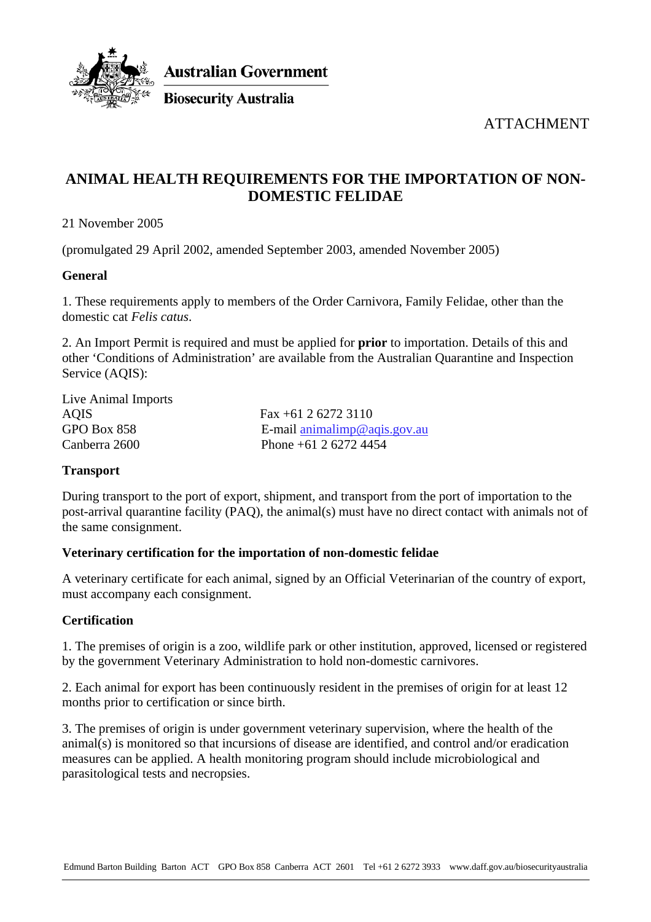

**Australian Government** 

**Biosecurity Australia** 

ATTACHMENT

# **ANIMAL HEALTH REQUIREMENTS FOR THE IMPORTATION OF NON-DOMESTIC FELIDAE**

21 November 2005

(promulgated 29 April 2002, amended September 2003, amended November 2005)

## **General**

1. These requirements apply to members of the Order Carnivora, Family Felidae, other than the domestic cat *Felis catus*.

2. An Import Permit is required and must be applied for **prior** to importation. Details of this and other 'Conditions of Administration' are available from the Australian Quarantine and Inspection Service (AQIS):

Live Animal Imports AQIS Fax +61 2 6272 3110

GPO Box 858 E-mail animalimp@agis.gov.au Canberra 2600 Phone +61 2 6272 4454

# **Transport**

During transport to the port of export, shipment, and transport from the port of importation to the post-arrival quarantine facility (PAQ), the animal(s) must have no direct contact with animals not of the same consignment.

#### **Veterinary certification for the importation of non-domestic felidae**

A veterinary certificate for each animal, signed by an Official Veterinarian of the country of export, must accompany each consignment.

#### **Certification**

1. The premises of origin is a zoo, wildlife park or other institution, approved, licensed or registered by the government Veterinary Administration to hold non-domestic carnivores.

2. Each animal for export has been continuously resident in the premises of origin for at least 12 months prior to certification or since birth.

3. The premises of origin is under government veterinary supervision, where the health of the animal(s) is monitored so that incursions of disease are identified, and control and/or eradication measures can be applied. A health monitoring program should include microbiological and parasitological tests and necropsies.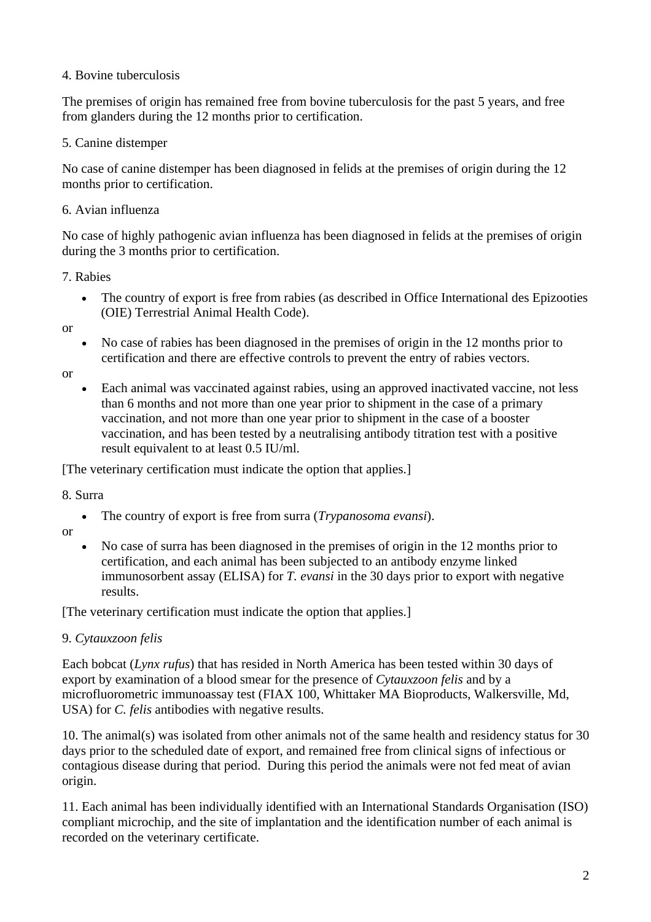#### 4. Bovine tuberculosis

The premises of origin has remained free from bovine tuberculosis for the past 5 years, and free from glanders during the 12 months prior to certification.

## 5. Canine distemper

No case of canine distemper has been diagnosed in felids at the premises of origin during the 12 months prior to certification.

## 6. Avian influenza

No case of highly pathogenic avian influenza has been diagnosed in felids at the premises of origin during the 3 months prior to certification.

#### 7. Rabies

• The country of export is free from rabies (as described in Office International des Epizooties (OIE) Terrestrial Animal Health Code).

or

• No case of rabies has been diagnosed in the premises of origin in the 12 months prior to certification and there are effective controls to prevent the entry of rabies vectors.

or

• Each animal was vaccinated against rabies, using an approved inactivated vaccine, not less than 6 months and not more than one year prior to shipment in the case of a primary vaccination, and not more than one year prior to shipment in the case of a booster vaccination, and has been tested by a neutralising antibody titration test with a positive result equivalent to at least 0.5 IU/ml.

[The veterinary certification must indicate the option that applies.]

8. Surra

- The country of export is free from surra (*Trypanosoma evansi*).
- or
	- No case of surra has been diagnosed in the premises of origin in the 12 months prior to certification, and each animal has been subjected to an antibody enzyme linked immunosorbent assay (ELISA) for *T. evansi* in the 30 days prior to export with negative results.

[The veterinary certification must indicate the option that applies.]

# 9. *Cytauxzoon felis*

Each bobcat (*Lynx rufus*) that has resided in North America has been tested within 30 days of export by examination of a blood smear for the presence of *Cytauxzoon felis* and by a microfluorometric immunoassay test (FIAX 100, Whittaker MA Bioproducts, Walkersville, Md, USA) for *C. felis* antibodies with negative results.

10. The animal(s) was isolated from other animals not of the same health and residency status for 30 days prior to the scheduled date of export, and remained free from clinical signs of infectious or contagious disease during that period. During this period the animals were not fed meat of avian origin.

11. Each animal has been individually identified with an International Standards Organisation (ISO) compliant microchip, and the site of implantation and the identification number of each animal is recorded on the veterinary certificate.